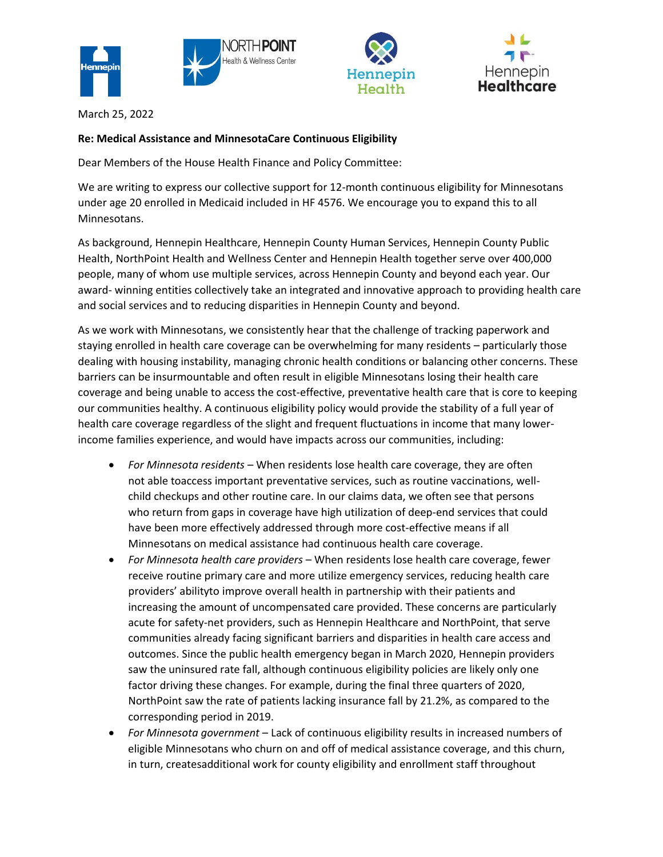







March 25, 2022

## **Re: Medical Assistance and MinnesotaCare Continuous Eligibility**

Dear Members of the House Health Finance and Policy Committee:

We are writing to express our collective support for 12-month continuous eligibility for Minnesotans under age 20 enrolled in Medicaid included in HF 4576. We encourage you to expand this to all Minnesotans.

As background, Hennepin Healthcare, Hennepin County Human Services, Hennepin County Public Health, NorthPoint Health and Wellness Center and Hennepin Health together serve over 400,000 people, many of whom use multiple services, across Hennepin County and beyond each year. Our award- winning entities collectively take an integrated and innovative approach to providing health care and social services and to reducing disparities in Hennepin County and beyond.

As we work with Minnesotans, we consistently hear that the challenge of tracking paperwork and staying enrolled in health care coverage can be overwhelming for many residents – particularly those dealing with housing instability, managing chronic health conditions or balancing other concerns. These barriers can be insurmountable and often result in eligible Minnesotans losing their health care coverage and being unable to access the cost-effective, preventative health care that is core to keeping our communities healthy. A continuous eligibility policy would provide the stability of a full year of health care coverage regardless of the slight and frequent fluctuations in income that many lowerincome families experience, and would have impacts across our communities, including:

- *For Minnesota residents*  When residents lose health care coverage, they are often not able toaccess important preventative services, such as routine vaccinations, wellchild checkups and other routine care. In our claims data, we often see that persons who return from gaps in coverage have high utilization of deep-end services that could have been more effectively addressed through more cost-effective means if all Minnesotans on medical assistance had continuous health care coverage.
- *For Minnesota health care providers*  When residents lose health care coverage, fewer receive routine primary care and more utilize emergency services, reducing health care providers' abilityto improve overall health in partnership with their patients and increasing the amount of uncompensated care provided. These concerns are particularly acute for safety-net providers, such as Hennepin Healthcare and NorthPoint, that serve communities already facing significant barriers and disparities in health care access and outcomes. Since the public health emergency began in March 2020, Hennepin providers saw the uninsured rate fall, although continuous eligibility policies are likely only one factor driving these changes. For example, during the final three quarters of 2020, NorthPoint saw the rate of patients lacking insurance fall by 21.2%, as compared to the corresponding period in 2019.
- *For Minnesota government*  Lack of continuous eligibility results in increased numbers of eligible Minnesotans who churn on and off of medical assistance coverage, and this churn, in turn, createsadditional work for county eligibility and enrollment staff throughout